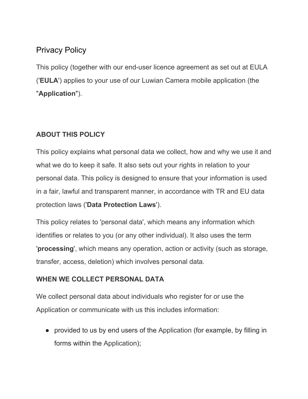# Privacy Policy

This policy (together with our end-user licence agreement as set out at EULA ('**EULA**') applies to your use of our Luwian Camera mobile application (the "**Application**").

## **ABOUT THIS POLICY**

This policy explains what personal data we collect, how and why we use it and what we do to keep it safe. It also sets out your rights in relation to your personal data. This policy is designed to ensure that your information is used in a fair, lawful and transparent manner, in accordance with TR and EU data protection laws ('**Data Protection Laws**').

This policy relates to 'personal data', which means any information which identifies or relates to you (or any other individual). It also uses the term '**processing**', which means any operation, action or activity (such as storage, transfer, access, deletion) which involves personal data.

## **WHEN WE COLLECT PERSONAL DATA**

We collect personal data about individuals who register for or use the Application or communicate with us this includes information:

• provided to us by end users of the Application (for example, by filling in forms within the Application);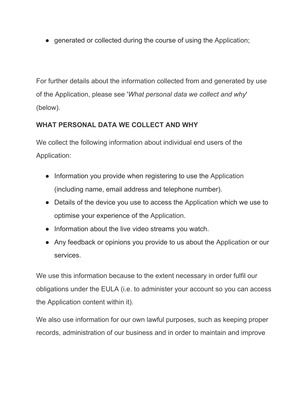• generated or collected during the course of using the Application;

For further details about the information collected from and generated by use of the Application, please see '*What personal data we collect and why*' (below).

# **WHAT PERSONAL DATA WE COLLECT AND WHY**

We collect the following information about individual end users of the Application:

- Information you provide when registering to use the Application (including name, email address and telephone number).
- Details of the device you use to access the Application which we use to optimise your experience of the Application.
- Information about the live video streams you watch.
- Any feedback or opinions you provide to us about the Application or our services.

We use this information because to the extent necessary in order fulfil our obligations under the EULA (i.e. to administer your account so you can access the Application content within it).

We also use information for our own lawful purposes, such as keeping proper records, administration of our business and in order to maintain and improve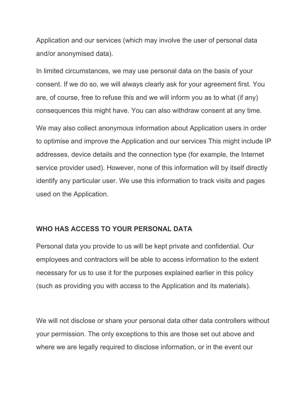Application and our services (which may involve the user of personal data and/or anonymised data).

In limited circumstances, we may use personal data on the basis of your consent. If we do so, we will always clearly ask for your agreement first. You are, of course, free to refuse this and we will inform you as to what (if any) consequences this might have. You can also withdraw consent at any time.

We may also collect anonymous information about Application users in order to optimise and improve the Application and our services This might include IP addresses, device details and the connection type (for example, the Internet service provider used). However, none of this information will by itself directly identify any particular user. We use this information to track visits and pages used on the Application.

#### **WHO HAS ACCESS TO YOUR PERSONAL DATA**

Personal data you provide to us will be kept private and confidential. Our employees and contractors will be able to access information to the extent necessary for us to use it for the purposes explained earlier in this policy (such as providing you with access to the Application and its materials).

We will not disclose or share your personal data other data controllers without your permission. The only exceptions to this are those set out above and where we are legally required to disclose information, or in the event our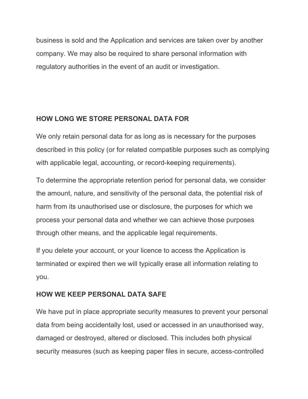business is sold and the Application and services are taken over by another company. We may also be required to share personal information with regulatory authorities in the event of an audit or investigation.

### **HOW LONG WE STORE PERSONAL DATA FOR**

We only retain personal data for as long as is necessary for the purposes described in this policy (or for related compatible purposes such as complying with applicable legal, accounting, or record-keeping requirements).

To determine the appropriate retention period for personal data, we consider the amount, nature, and sensitivity of the personal data, the potential risk of harm from its unauthorised use or disclosure, the purposes for which we process your personal data and whether we can achieve those purposes through other means, and the applicable legal requirements.

If you delete your account, or your licence to access the Application is terminated or expired then we will typically erase all information relating to you.

# **HOW WE KEEP PERSONAL DATA SAFE**

We have put in place appropriate security measures to prevent your personal data from being accidentally lost, used or accessed in an unauthorised way, damaged or destroyed, altered or disclosed. This includes both physical security measures (such as keeping paper files in secure, access-controlled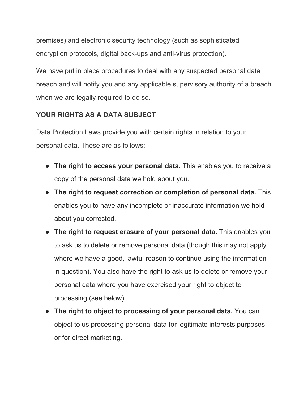premises) and electronic security technology (such as sophisticated encryption protocols, digital back-ups and anti-virus protection).

We have put in place procedures to deal with any suspected personal data breach and will notify you and any applicable supervisory authority of a breach when we are legally required to do so.

# **YOUR RIGHTS AS A DATA SUBJECT**

Data Protection Laws provide you with certain rights in relation to your personal data. These are as follows:

- **The right to access your personal data.** This enables you to receive a copy of the personal data we hold about you.
- **The right to request correction or completion of personal data.** This enables you to have any incomplete or inaccurate information we hold about you corrected.
- **The right to request erasure of your personal data.** This enables you to ask us to delete or remove personal data (though this may not apply where we have a good, lawful reason to continue using the information in question). You also have the right to ask us to delete or remove your personal data where you have exercised your right to object to processing (see below).
- **The right to object to processing of your personal data.** You can object to us processing personal data for legitimate interests purposes or for direct marketing.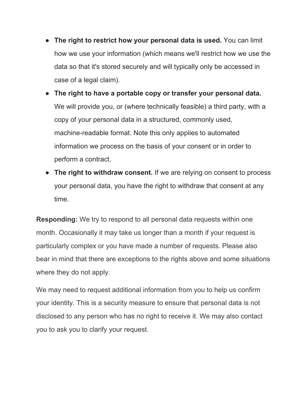- **The right to restrict how your personal data is used.** You can limit how we use your information (which means we'll restrict how we use the data so that it's stored securely and will typically only be accessed in case of a legal claim).
- **The right to have a portable copy or transfer your personal data.** We will provide you, or (where technically feasible) a third party, with a copy of your personal data in a structured, commonly used, machine-readable format. Note this only applies to automated information we process on the basis of your consent or in order to perform a contract.
- **The right to withdraw consent.** If we are relying on consent to process your personal data, you have the right to withdraw that consent at any time.

**Responding:** We try to respond to all personal data requests within one month. Occasionally it may take us longer than a month if your request is particularly complex or you have made a number of requests. Please also bear in mind that there are exceptions to the rights above and some situations where they do not apply.

We may need to request additional information from you to help us confirm your identity. This is a security measure to ensure that personal data is not disclosed to any person who has no right to receive it. We may also contact you to ask you to clarify your request.